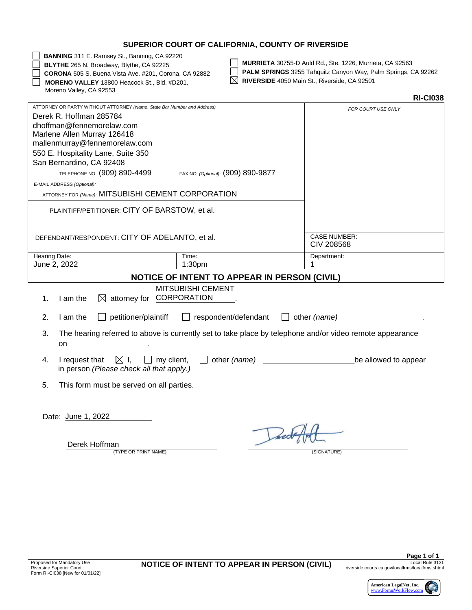### **SUPERIOR COURT OF CALIFORNIA, COUNTY OF RIVERSIDE**

**BANNING** 311 E. Ramsey St., Banning, CA 92220

**BLYTHE** 265 N. Broadway, Blythe, CA 92225

**CORONA** 505 S. Buena Vista Ave. #201, Corona, CA 92882 **MORENO VALLEY** 13800 Heacock St., Bld. #D201, Moreno Valley, CA 92553

**MURRIETA** 30755-D Auld Rd., Ste. 1226, Murrieta, CA 92563

**PALM SPRINGS** 3255 Tahquitz Canyon Way, Palm Springs, CA 92262

| $\boxtimes$ RIVERSIDE 4050 Main St., Riverside, CA 92501 |  |
|----------------------------------------------------------|--|
|----------------------------------------------------------|--|

|                                                                                                                                                                                                                                                                                                                                 |                                                                                                          | <b>RI-CI038</b>                   |
|---------------------------------------------------------------------------------------------------------------------------------------------------------------------------------------------------------------------------------------------------------------------------------------------------------------------------------|----------------------------------------------------------------------------------------------------------|-----------------------------------|
| ATTORNEY OR PARTY WITHOUT ATTORNEY (Name, State Bar Number and Address)<br>Derek R. Hoffman 285784<br>dhoffman@fennemorelaw.com<br>Marlene Allen Murray 126418<br>mallenmurray@fennemorelaw.com<br>550 E. Hospitality Lane, Suite 350<br>San Bernardino, CA 92408<br>TELEPHONE NO: (909) 890-4499<br>E-MAIL ADDRESS (Optional): | FAX NO. (Optional): (909) 890-9877                                                                       | FOR COURT USE ONLY                |
| ATTORNEY FOR (Name): MITSUBISHI CEMENT CORPORATION                                                                                                                                                                                                                                                                              |                                                                                                          |                                   |
| PLAINTIFF/PETITIONER: CITY OF BARSTOW, et al.<br>DEFENDANT/RESPONDENT: CITY OF ADELANTO, et al.                                                                                                                                                                                                                                 |                                                                                                          | <b>CASE NUMBER:</b><br>CIV 208568 |
| Hearing Date:                                                                                                                                                                                                                                                                                                                   | Time:                                                                                                    | Department:                       |
| June 2, 2022                                                                                                                                                                                                                                                                                                                    | 1:30 <sub>pm</sub>                                                                                       | 1                                 |
|                                                                                                                                                                                                                                                                                                                                 | <b>NOTICE OF INTENT TO APPEAR IN PERSON (CIVIL)</b>                                                      |                                   |
| $\boxtimes$ attorney for CORPORATION<br>I am the<br>1.                                                                                                                                                                                                                                                                          | MITSUBISHI CEMENT                                                                                        |                                   |
| $\Box$ petitioner/plaintiff<br>2.<br>I am the                                                                                                                                                                                                                                                                                   | $\Box$ respondent/defendant $\Box$ other (name)                                                          |                                   |
| 3.<br>on                                                                                                                                                                                                                                                                                                                        | The hearing referred to above is currently set to take place by telephone and/or video remote appearance |                                   |
| $\boxtimes$ I,<br>$\Box$ my client, $\Box$<br>I request that<br>4.<br>in person (Please check all that apply.)                                                                                                                                                                                                                  | other (name) <u>contains and the container</u>                                                           | be allowed to appear              |
| 5.<br>This form must be served on all parties.                                                                                                                                                                                                                                                                                  |                                                                                                          |                                   |
| Date: June 1, 2022                                                                                                                                                                                                                                                                                                              |                                                                                                          |                                   |
| Derek Hoffman                                                                                                                                                                                                                                                                                                                   |                                                                                                          |                                   |

(TYPE OR PRINT NAME) (SIGNATURE)

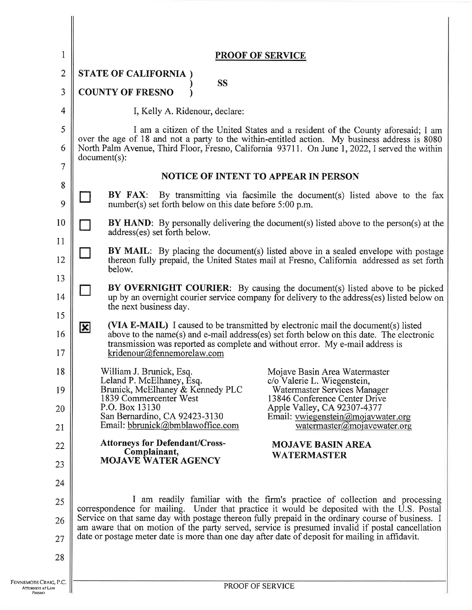| $\mathbf 1$    | <b>PROOF OF SERVICE</b>                                                                                                                                                                                                                                                                                      |  |  |  |
|----------------|--------------------------------------------------------------------------------------------------------------------------------------------------------------------------------------------------------------------------------------------------------------------------------------------------------------|--|--|--|
| $\overline{2}$ | <b>STATE OF CALIFORNIA</b>                                                                                                                                                                                                                                                                                   |  |  |  |
| 3              | <b>SS</b><br><b>COUNTY OF FRESNO</b>                                                                                                                                                                                                                                                                         |  |  |  |
| 4              | I, Kelly A. Ridenour, declare:                                                                                                                                                                                                                                                                               |  |  |  |
| 5<br>6         | I am a citizen of the United States and a resident of the County aforesaid; I am<br>over the age of 18 and not a party to the within-entitled action. My business address is 8080<br>North Palm Avenue, Third Floor, Fresno, California 93711. On June 1, 2022, I served the within<br>$document(s)$ :       |  |  |  |
| 7              | <b>NOTICE OF INTENT TO APPEAR IN PERSON</b>                                                                                                                                                                                                                                                                  |  |  |  |
| 8<br>9         | BY FAX:<br>By transmitting via facsimile the document(s) listed above to the fax<br>number(s) set forth below on this date before 5:00 p.m.                                                                                                                                                                  |  |  |  |
| 10             | <b>BY HAND:</b> By personally delivering the document(s) listed above to the person(s) at the<br>address(es) set forth below.                                                                                                                                                                                |  |  |  |
| 11<br>12       | <b>BY MAIL:</b> By placing the document(s) listed above in a sealed envelope with postage<br>thereon fully prepaid, the United States mail at Fresno, California addressed as set forth<br>below.                                                                                                            |  |  |  |
| 13<br>14       | BY OVERNIGHT COURIER: By causing the document(s) listed above to be picked<br>up by an overnight courier service company for delivery to the address(es) listed below on<br>the next business day.                                                                                                           |  |  |  |
| 15<br>16<br>17 | (VIA E-MAIL) I caused to be transmitted by electronic mail the document(s) listed<br>$\mathbf{x}$<br>above to the name(s) and e-mail address(es) set forth below on this date. The electronic<br>transmission was reported as complete and without error. My e-mail address is<br>kridenour@fennemorelaw.com |  |  |  |
| 18             | William J. Brunick, Esq.<br>Mojave Basin Area Watermaster<br>Leland P. McElhaney, Esq.<br>c/o Valerie L. Wiegenstein,                                                                                                                                                                                        |  |  |  |
| 19<br>20       | Brunick, McElhaney & Kennedy PLC<br>Watermaster Services Manager<br>1839 Commercenter West<br>13846 Conference Center Drive<br>P.O. Box 13130<br>Apple Valley, CA 92307-4377                                                                                                                                 |  |  |  |
| 21             | San Bernardino, CA 92423-3130<br>Email: vwiegenstein@mojavwater.org<br>Email: bbrunick@bmblawoffice.com<br>watermaster@mojavewater.org                                                                                                                                                                       |  |  |  |
| 22             | <b>Attorneys for Defendant/Cross-</b><br><b>MOJAVE BASIN AREA</b><br>Complainant,                                                                                                                                                                                                                            |  |  |  |
| 23             | <b>WATERMASTER</b><br><b>MOJAVE WATER AGENCY</b>                                                                                                                                                                                                                                                             |  |  |  |
| 24             |                                                                                                                                                                                                                                                                                                              |  |  |  |
| 25             | I am readily familiar with the firm's practice of collection and processing<br>correspondence for mailing. Under that practice it would be deposited with the U.S. Postal                                                                                                                                    |  |  |  |
| 26             | Service on that same day with postage thereon fully prepaid in the ordinary course of business. I<br>am aware that on motion of the party served, service is presumed invalid if postal cancellation                                                                                                         |  |  |  |
| 27             | date or postage meter date is more than one day after date of deposit for mailing in affidavit.                                                                                                                                                                                                              |  |  |  |
| 28             |                                                                                                                                                                                                                                                                                                              |  |  |  |
| G, P.C.<br>١W  | PROOF OF SERVICE                                                                                                                                                                                                                                                                                             |  |  |  |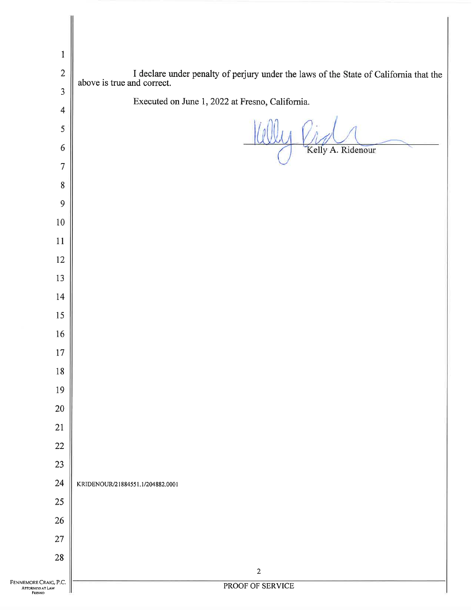| $\mathbf{1}$                              |                                                                                                                  |
|-------------------------------------------|------------------------------------------------------------------------------------------------------------------|
| $\sqrt{2}$                                | I declare under penalty of perjury under the laws of the State of California that the above is true and correct. |
| $\overline{3}$                            |                                                                                                                  |
| $\overline{4}$                            | Executed on June 1, 2022 at Fresno, California.                                                                  |
| $\sqrt{5}$                                |                                                                                                                  |
| 6                                         | Kelly A. Ridenour                                                                                                |
| $\overline{7}$                            |                                                                                                                  |
| $\bf 8$                                   |                                                                                                                  |
| $\mathbf{9}$                              |                                                                                                                  |
| $10\,$                                    |                                                                                                                  |
| $11\,$                                    |                                                                                                                  |
| $12\,$                                    |                                                                                                                  |
| 13                                        |                                                                                                                  |
| 14                                        |                                                                                                                  |
| 15                                        |                                                                                                                  |
| 16                                        |                                                                                                                  |
| $17\,$                                    |                                                                                                                  |
| $18\,$                                    |                                                                                                                  |
| 19                                        |                                                                                                                  |
| $20\,$                                    |                                                                                                                  |
| 21                                        |                                                                                                                  |
| $22\,$                                    |                                                                                                                  |
| 23                                        |                                                                                                                  |
| 24                                        | KRIDENOUR/21884551.1/204882.0001                                                                                 |
| 25                                        |                                                                                                                  |
| $26\,$                                    |                                                                                                                  |
| 27<br>$28\,$                              |                                                                                                                  |
|                                           | $\mathbf 2$                                                                                                      |
| Fennemore Craig, P.C.<br>ATTORNEYS AT LAW | PROOF OF SERVICE                                                                                                 |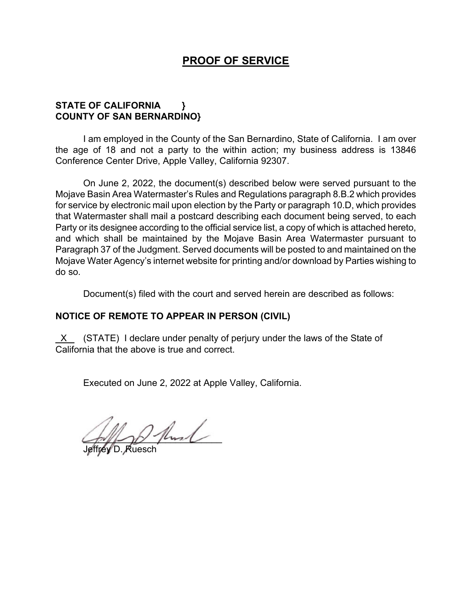# **PROOF OF SERVICE**

## **STATE OF CALIFORNIA } COUNTY OF SAN BERNARDINO}**

I am employed in the County of the San Bernardino, State of California. I am over the age of 18 and not a party to the within action; my business address is 13846 Conference Center Drive, Apple Valley, California 92307.

On June 2, 2022, the document(s) described below were served pursuant to the Mojave Basin Area Watermaster's Rules and Regulations paragraph 8.B.2 which provides for service by electronic mail upon election by the Party or paragraph 10.D, which provides that Watermaster shall mail a postcard describing each document being served, to each Party or its designee according to the official service list, a copy of which is attached hereto, and which shall be maintained by the Mojave Basin Area Watermaster pursuant to Paragraph 37 of the Judgment. Served documents will be posted to and maintained on the Mojave Water Agency's internet website for printing and/or download by Parties wishing to do so.

Document(s) filed with the court and served herein are described as follows:

## **NOTICE OF REMOTE TO APPEAR IN PERSON (CIVIL)**

 X (STATE) I declare under penalty of perjury under the laws of the State of California that the above is true and correct.

Executed on June 2, 2022 at Apple Valley, California.

 $\left(\frac{1}{2}x\right)^{1/2}$ 

Jeffrey D. Ruesch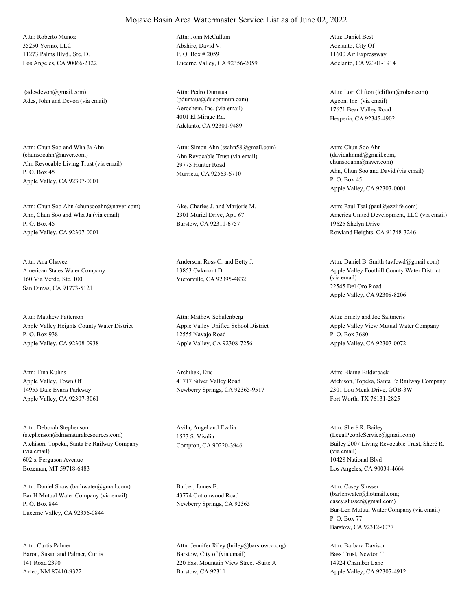35250 Yermo, LLC 11273 Palms Blvd., Ste. D. Los Angeles, CA 90066-2122 Attn: Roberto Munoz

Ades, John and Devon (via email) (adesdevon@gmail.com)

Ahn Revocable Living Trust (via email) P. O. Box 45 Apple Valley, CA 92307-0001 Attn: Chun Soo and Wha Ja Ahn<br>(chunsooahn@naver.com)

Ahn, Chun Soo and Wha Ja (via email) P. O. Box 45 Apple Valley, CA 92307-0001 Attn: Chun Soo Ahn (chunsooahn@naver.com) Ake, Charles J. and Marjorie M.

American States Water Company 160 Via Verde, Ste. 100 San Dimas, CA 91773-5121 Attn: Ana Chavez Anderson, Ross C. and Betty J.

Apple Valley Heights County Water District P. O. Box 938 Apple Valley, CA 92308-0938 Attn: Matthew Patterson

Apple Valley, Town Of 14955 Dale Evans Parkway Apple Valley, CA 92307-3061 Attn: Tina Kuhns Archibek, Eric

Atchison, Topeka, Santa Fe Railway Company (via email) 602 s. Ferguson Avenue Bozeman, MT 59718-6483 Attn: Deborah Stephenson (stephenson@dmsnaturalresources.com)

Bar H Mutual Water Company (via email) P. O. Box 844 Lucerne Valley, CA 92356-0844 Attn: Daniel Shaw (barhwater@gmail.com) Barber, James B.

Baron, Susan and Palmer, Curtis 141 Road 2390 Aztec, NM 87410-9322 Attn: Curtis Palmer

Abshire, David V. P. O. Box # 2059 Lucerne Valley, CA 92356-2059 Attn: John McCallum

Aerochem, Inc. (via email) 4001 El Mirage Rd. Adelanto, CA 92301-9489 Attn: Pedro Dumaua (pdumaua@ducommun.com) Agcon, Inc. (via email)

Ahn Revocable Trust (via email) 29775 Hunter Road Murrieta, CA 92563-6710 Attn: Simon Ahn (ssahn58@gmail.com)

2301 Muriel Drive, Apt. 67 Barstow, CA 92311-6757

13853 Oakmont Dr. Victorville, CA 92395-4832

Apple Valley Unified School District 12555 Navajo Road Apple Valley, CA 92308-7256 Attn: Mathew Schulenberg

41717 Silver Valley Road Newberry Springs, CA 92365-9517

Avila, Angel and Evalia 1523 S. Visalia

43774 Cottonwood Road Newberry Springs, CA 92365

Barstow, City of (via email) 220 East Mountain View Street -Suite A Barstow, CA 92311 Attn: Jennifer Riley (hriley@barstowca.org) Adelanto, City Of 11600 Air Expressway Adelanto, CA 92301-1914 Attn: Daniel Best

17671 Bear Valley Road Hesperia, CA 92345-4902 Attn: Lori Clifton (lclifton@robar.com)

Ahn, Chun Soo and David (via email) P. O. Box 45 Apple Valley, CA 92307-0001 Attn: Chun Soo Ahn (davidahnmd@gmail.com, chunsooahn@naver.com)

America United Development, LLC (via email) 19625 Shelyn Drive Rowland Heights, CA 91748-3246 Attn: Paul Tsai (paul@ezzlife.com)

Apple Valley Foothill County Water District (via email) 22545 Del Oro Road Apple Valley, CA 92308-8206 Attn: Daniel B. Smith (avfcwd@gmail.com)

Apple Valley View Mutual Water Company P. O. Box 3680 Apple Valley, CA 92307-0072 Attn: Emely and Joe Saltmeris

Atchison, Topeka, Santa Fe Railway Company 2301 Lou Menk Drive, GOB-3W Fort Worth, TX 76131-2825 Attn: Blaine Bilderback

Compton, CA 90220-3946 Bailey 2007 Living Revocable Trust, Sheré R. (via email) 10428 National Blvd Los Angeles, CA 90034-4664 Attn: Sheré R. Bailey (LegalPeopleService@gmail.com)

> Bar-Len Mutual Water Company (via email) P. O. Box 77 Barstow, CA 92312-0077 Attn: Casey Slusser (barlenwater@hotmail.com; casey.slusser@gmail.com)

Bass Trust, Newton T. 14924 Chamber Lane Apple Valley, CA 92307-4912 Attn: Barbara Davison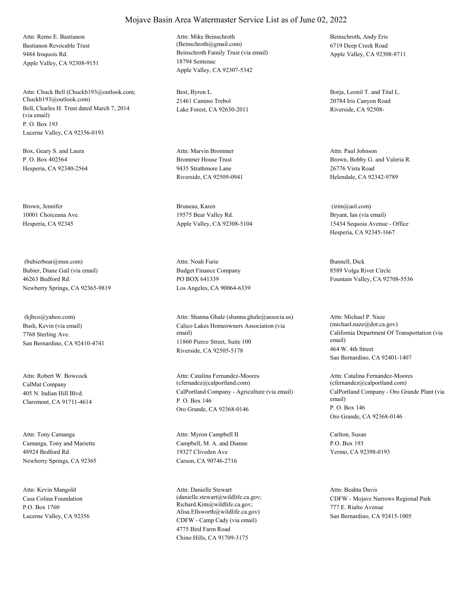Bastianon Revocable Trust 9484 Iroquois Rd. Apple Valley, CA 92308-9151 Attn: Remo E. Bastianon

Bell, Charles H. Trust dated March 7, 2014 (via email) P. O. Box 193 Lucerne Valley, CA 92356-0193 Attn: Chuck Bell (Chuckb193@outlook.com; Chuckb193@outlook.com)

Box, Geary S. and Laura P. O. Box 402564 Hesperia, CA 92340-2564

Brown, Jennifer 10001 Choiceana Ave. Hesperia, CA 92345

Bubier, Diane Gail (via email) 46263 Bedford Rd. Newberry Springs, CA 92365-9819 (bubierbear@msn.com)

Bush, Kevin (via email) 7768 Sterling Ave. San Bernardino, CA 92410-4741 (kjbco@yahoo.com)

CalMat Company 405 N. Indian Hill Blvd. Claremont, CA 91711-4614 Attn: Robert W. Bowcock

Camanga, Tony and Marietta 48924 Bedford Rd. Newberry Springs, CA 92365 Attn: Tony Camanga

Casa Colina Foundation P.O. Box 1760 Lucerne Valley, CA 92356 Attn: Kevin Mangold

Beinschroth Family Trust (via email) 18794 Sentenac Apple Valley, CA 92307-5342 Attn: Mike Beinschroth (Beinschroth@gmail.com)

Best, Byron L. 21461 Camino Trebol Lake Forest, CA 92630-2011

Brommer House Trust 9435 Strathmore Lane Riverside, CA 92509-0941 Attn: Marvin Brommer

Bruneau, Karen 19575 Bear Valley Rd. Apple Valley, CA 92308-5104

Budget Finance Company PO BOX 641339 Los Angeles, CA 90064-6339 Attn: Noah Furie Bunnell, Dick

Calico Lakes Homeowners Association (via email) 11860 Pierce Street, Suite 100 Riverside, CA 92505-5178 Attn: Shanna Ghale (shanna.ghale@associa.us)

CalPortland Company - Agriculture (via email) P. O. Box 146 Oro Grande, CA 92368-0146 Attn: Catalina Fernandez-Moores (cfernadez@calportland.com)

Campbell, M. A. and Dianne 19327 Cliveden Ave Carson, CA 90746-2716 Attn: Myron Campbell II Carlton, Susan

CDFW - Camp Cady (via email) 4775 Bird Farm Road Chino Hills, CA 91709-3175 Attn: Danielle Stewart (danielle.stewart@wildlife.ca.gov; Richard.Kim@wildlife.ca.gov; Alisa.Ellsworth@wildlife.ca.gov)

Beinschroth, Andy Eric 6719 Deep Creek Road Apple Valley, CA 92308-8711

Borja, Leonil T. and Tital L. 20784 Iris Canyon Road Riverside, CA 92508-

Brown, Bobby G. and Valeria R. 26776 Vista Road Helendale, CA 92342-9789 Attn: Paul Johnson

Bryant, Ian (via email) 15434 Sequoia Avenue - Office Hesperia, CA 92345-1667 (irim@aol.com)

8589 Volga River Circle Fountain Valley, CA 92708-5536

California Department Of Transportation (via email) 464 W. 4th Street San Bernardino, CA 92401-1407 Attn: Michael P. Naze (michael.naze@dot.ca.gov)

CalPortland Company - Oro Grande Plant (via email) P. O. Box 146 Oro Grande, CA 92368-0146 Attn: Catalina Fernandez-Moores (cfernandez@calportland.com)

P.O. Box 193 Yermo, CA 92398-0193

CDFW - Mojave Narrows Regional Park 777 E. Rialto Avenue San Bernardino, CA 92415-1005 Attn: Beahta Davis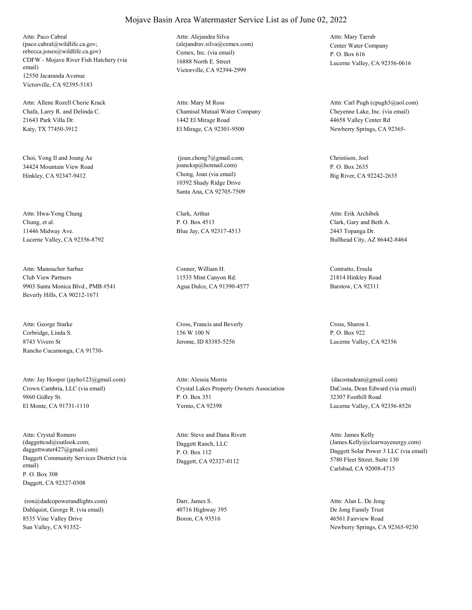CDFW - Mojave River Fish Hatchery (via email) 12550 Jacaranda Avenue Victorville, CA 92395-5183 Attn: Paco Cabral (paco.cabral@wildlife.ca.gov; rebecca.jones@wildlife.ca.gov) Cemex, Inc. (via email)

Chafa, Larry R. and Delinda C. 21643 Park Villa Dr. Katy, TX 77450-3912 Attn: Allene Rozell Cherie Krack

Choi, Yong Il and Joung Ae 34424 Mountain View Road Hinkley, CA 92347-9412 Chong, Joan (via email)

Chung, et al. 11446 Midway Ave. Lucerne Valley, CA 92356-8792 Attn: Hwa-Yong Chung Clark, Arthur

Club View Partners 9903 Santa Monica Blvd., PMB #541 Beverly Hills, CA 90212-1671 Attn: Manoucher Sarbaz Conner, William H.

Corbridge, Linda S. 8743 Vivero St Rancho Cucamonga, CA 91730- Attn: George Starke Cross, Francis and Beverly

Crown Cambria, LLC (via email) 9860 Gidley St. El Monte, CA 91731-1110 Attn: Jay Hooper (jayho123@gmail.com)

Daggett Community Services District (via email) P. O. Box 308 Daggett, CA 92327-0308 Attn: Crystal Romero (daggettcsd@outlook.com; daggettwater427@gmail.com)

Dahlquist, George R. (via email) 8535 Vine Valley Drive Sun Valley, CA 91352- (ron@dadcopowerandlights.com) Darr, James S.

16888 North E. Street Victorville, CA 92394-2999 Attn: Alejandra Silva (alejandrav.silva@cemex.com) Center Water Company

Chamisal Mutual Water Company 1442 El Mirage Road El Mirage, CA 92301-9500 Attn: Mary M Ross

10392 Shady Ridge Drive Santa Ana, CA 92705-7509 (joan.chong7@gmail.com; joancksp@hotmail.com)

P. O. Box 4513 Blue Jay, CA 92317-4513

11535 Mint Canyon Rd. Agua Dulce, CA 91390-4577

156 W 100 N Jerome, ID 83385-5256

Crystal Lakes Property Owners Association P. O. Box 351 Yermo, CA 92398 Attn: Alessia Morris

Daggett Ranch, LLC P. O. Box 112 Daggett, CA 92327-0112 Attn: Steve and Dana Rivett

40716 Highway 395 Boron, CA 93516

P. O. Box 616 Lucerne Valley, CA 92356-0616 Attn: Mary Tarrab

Cheyenne Lake, Inc. (via email) 44658 Valley Center Rd Newberry Springs, CA 92365- Attn: Carl Pugh (cpugh3@aol.com)

Christison, Joel P. O. Box 2635 Big River, CA 92242-2635

Clark, Gary and Beth A. 2443 Topanga Dr. Bullhead City, AZ 86442-8464 Attn: Erik Archibek

Contratto, Ersula 21814 Hinkley Road Barstow, CA 92311

Cross, Sharon I. P. O. Box 922 Lucerne Valley, CA 92356

DaCosta, Dean Edward (via email) 32307 Foothill Road Lucerne Valley, CA 92356-8526 (dacostadean@gmail.com)

Daggett Solar Power 3 LLC (via email) 5780 Fleet Street, Suite 130 Carlsbad, CA 92008-4715 Attn: James Kelly (James.Kelly@clearwayenergy.com)

De Jong Family Trust 46561 Fairview Road Newberry Springs, CA 92365-9230 Attn: Alan L. De Jong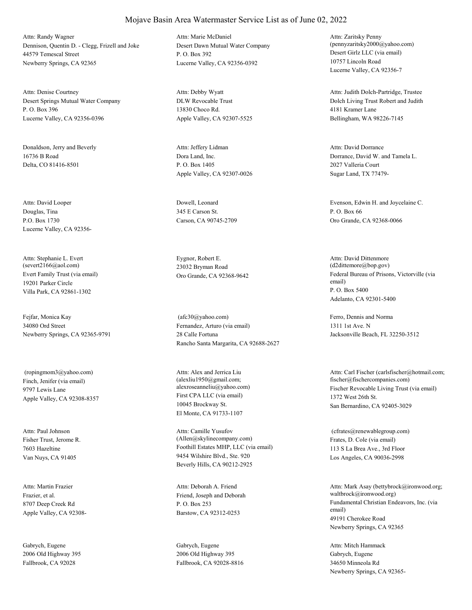Dennison, Quentin D. - Clegg, Frizell and Joke 44579 Temescal Street Newberry Springs, CA 92365 Attn: Randy Wagner

Desert Springs Mutual Water Company P. O. Box 396 Lucerne Valley, CA 92356-0396 Attn: Denise Courtney

Donaldson, Jerry and Beverly 16736 B Road Delta, CO 81416-8501

Douglas, Tina P.O. Box 1730 Lucerne Valley, CA 92356- Attn: David Looper Dowell, Leonard

Evert Family Trust (via email) 19201 Parker Circle Villa Park, CA 92861-1302 Attn: Stephanie L. Evert (severt2166@aol.com)

Fejfar, Monica Kay 34080 Ord Street Newberry Springs, CA 92365-9791

Finch, Jenifer (via email) 9797 Lewis Lane Apple Valley, CA 92308-8357 (ropingmom3@yahoo.com)

Fisher Trust, Jerome R. 7603 Hazeltine Van Nuys, CA 91405 Attn: Paul Johnson

Frazier, et al. 8707 Deep Creek Rd Apple Valley, CA 92308- Attn: Martin Frazier

Gabrych, Eugene 2006 Old Highway 395 Fallbrook, CA 92028

Desert Dawn Mutual Water Company P. O. Box 392 Lucerne Valley, CA 92356-0392 Attn: Marie McDaniel

DLW Revocable Trust 13830 Choco Rd. Apple Valley, CA 92307-5525 Attn: Debby Wyatt

Dora Land, Inc. P. O. Box 1405 Apple Valley, CA 92307-0026 Attn: Jeffery Lidman

345 E Carson St. Carson, CA 90745-2709

Eygnor, Robert E. 23032 Bryman Road

Fernandez, Arturo (via email) 28 Calle Fortuna Rancho Santa Margarita, CA 92688-2627 (afc30@yahoo.com) Ferro, Dennis and Norma

First CPA LLC (via email) 10045 Brockway St. El Monte, CA 91733-1107 Attn: Alex and Jerrica Liu (alexliu1950@gmail.com;

Foothill Estates MHP, LLC (via email) 9454 Wilshire Blvd., Ste. 920 Beverly Hills, CA 90212-2925 Attn: Camille Yusufov (Allen@skylinecompany.com) Frates, D. Cole (via email)

Friend, Joseph and Deborah P. O. Box 253 Barstow, CA 92312-0253 Attn: Deborah A. Friend

Gabrych, Eugene 2006 Old Highway 395 Fallbrook, CA 92028-8816 Desert Girlz LLC (via email) 10757 Lincoln Road Lucerne Valley, CA 92356-7 Attn: Zaritsky Penny (pennyzaritsky2000@yahoo.com)

Dolch Living Trust Robert and Judith 4181 Kramer Lane Bellingham, WA 98226-7145 Attn: Judith Dolch-Partridge, Trustee

Dorrance, David W. and Tamela L. 2027 Valleria Court Sugar Land, TX 77479- Attn: David Dorrance

Evenson, Edwin H. and Joycelaine C. P. O. Box 66 Oro Grande, CA 92368-0066

Oro Grande, CA 92368-9642 Federal Bureau of Prisons, Victorville (via email) P. O. Box 5400 Adelanto, CA 92301-5400 Attn: David Dittenmore (d2dittemore@bop.gov)

> 1311 1st Ave. N Jacksonville Beach, FL 32250-3512

alexroseanneliu@yahoo.com) Fischer Revocable Living Trust (via email) 1372 West 26th St. San Bernardino, CA 92405-3029 Attn: Carl Fischer (carlsfischer@hotmail.com; fischer@fischercompanies.com)

> 113 S La Brea Ave., 3rd Floor Los Angeles, CA 90036-2998 (cfrates@renewablegroup.com)

Fundamental Christian Endeavors, Inc. (via email) 49191 Cherokee Road Newberry Springs, CA 92365 Attn: Mark Asay (bettybrock@ironwood.org; waltbrock@ironwood.org)

Gabrych, Eugene 34650 Minneola Rd Newberry Springs, CA 92365- Attn: Mitch Hammack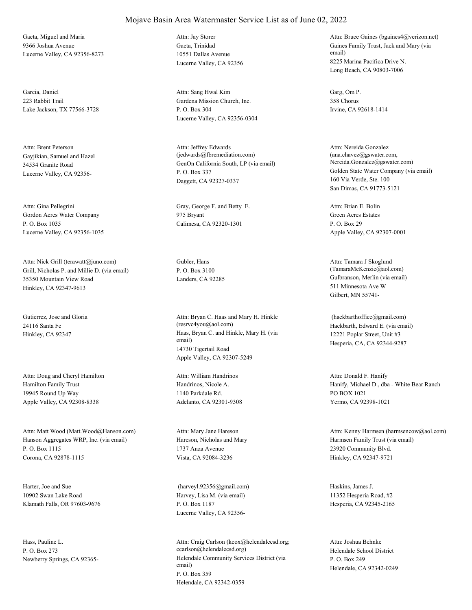Gaeta, Miguel and Maria 9366 Joshua Avenue Lucerne Valley, CA 92356-8273

Garcia, Daniel 223 Rabbit Trail Lake Jackson, TX 77566-3728

Gayjikian, Samuel and Hazel 34534 Granite Road Lucerne Valley, CA 92356- Attn: Brent Peterson

Gordon Acres Water Company P. O. Box 1035 Lucerne Valley, CA 92356-1035

Grill, Nicholas P. and Millie D. (via email) 35350 Mountain View Road Hinkley, CA 92347-9613 Attn: Nick Grill (terawatt@juno.com) Gubler, Hans

Gutierrez, Jose and Gloria 24116 Santa Fe

Hamilton Family Trust 19945 Round Up Way Apple Valley, CA 92308-8338 Attn: Doug and Cheryl Hamilton

Hanson Aggregates WRP, Inc. (via email) P. O. Box 1115 Corona, CA 92878-1115 Attn: Matt Wood (Matt.Wood@Hanson.com)

Harter, Joe and Sue 10902 Swan Lake Road Klamath Falls, OR 97603-9676

Hass, Pauline L. P. O. Box 273

## Mojave Basin Area Watermaster Service List as of June 02, 2022

Gaeta, Trinidad 10551 Dallas Avenue Lucerne Valley, CA 92356 Attn: Jay Storer

Gardena Mission Church, Inc. P. O. Box 304 Lucerne Valley, CA 92356-0304 Attn: Sang Hwal Kim Garg, Om P.

GenOn California South, LP (via email) P. O. Box 337 Daggett, CA 92327-0337 Attn: Jeffrey Edwards (jedwards@fbremediation.com)

Attn: Gina Pellegrini Gray, George F. and Betty E. 975 Bryant Calimesa, CA 92320-1301

P. O. Box 3100

Hinkley, CA 92347 Haas, Bryan C. and Hinkle, Mary H. (via email) 14730 Tigertail Road Apple Valley, CA 92307-5249 Attn: Bryan C. Haas and Mary H. Hinkle (resrvc4you@aol.com) Hackbarth, Edward E. (via email)

> Handrinos, Nicole A. 1140 Parkdale Rd. Adelanto, CA 92301-9308 Attn: William Handrinos

Hareson, Nicholas and Mary 1737 Anza Avenue Vista, CA 92084-3236 Attn: Mary Jane Hareson

Harvey, Lisa M. (via email) P. O. Box 1187 Lucerne Valley, CA 92356- (harveyl.92356@gmail.com) Haskins, James J.

Newberry Springs, CA 92365-<br>
Helendale Community Services District (via email) P. O. Box 359 Helendale, CA 92342-0359 Attn: Craig Carlson (kcox@helendalecsd.org; ccarlson@helendalecsd.org) Helendale School District

Gaines Family Trust, Jack and Mary (via email) 8225 Marina Pacifica Drive N. Long Beach, CA 90803-7006 Attn: Bruce Gaines (bgaines4@verizon.net)

358 Chorus Irvine, CA 92618-1414

Golden State Water Company (via email) 160 Via Verde, Ste. 100 San Dimas, CA 91773-5121 Attn: Nereida Gonzalez (ana.chavez@gswater.com, Nereida.Gonzalez@gswater.com)

Green Acres Estates P. O. Box 29 Apple Valley, CA 92307-0001 Attn: Brian E. Bolin

Landers, CA 92285 Gulbranson, Merlin (via email) 511 Minnesota Ave W Gilbert, MN 55741- Attn: Tamara J Skoglund (TamaraMcKenzie@aol.com)

> 12221 Poplar Street, Unit #3 Hesperia, CA, CA 92344-9287 (hackbarthoffice@gmail.com)

Hanify, Michael D., dba - White Bear Ranch PO BOX 1021 Yermo, CA 92398-1021 Attn: Donald F. Hanify

Harmsen Family Trust (via email) 23920 Community Blvd. Hinkley, CA 92347-9721 Attn: Kenny Harmsen (harmsencow@aol.com)

11352 Hesperia Road, #2 Hesperia, CA 92345-2165

P. O. Box 249 Helendale, CA 92342-0249 Attn: Joshua Behnke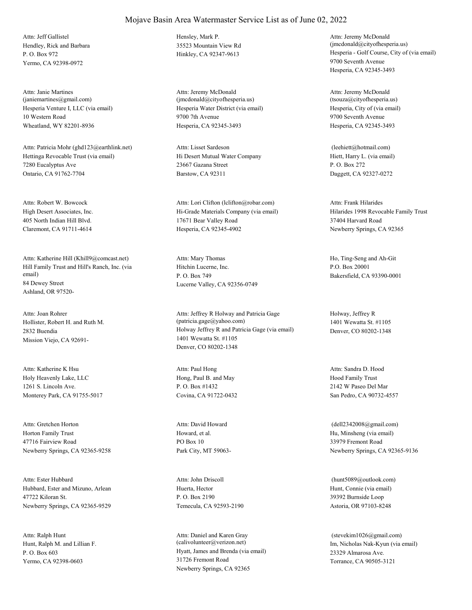Hendley, Rick and Barbara P. O. Box 972 Yermo, CA 92398-0972 Attn: Jeff Gallistel Hensley, Mark P.

Hesperia Venture I, LLC (via email) 10 Western Road Wheatland, WY 82201-8936 Attn: Janie Martines (janiemartines@gmail.com)

Hettinga Revocable Trust (via email) 7280 Eucalyptus Ave Ontario, CA 91762-7704 Attn: Patricia Mohr (ghd123@earthlink.net)

High Desert Associates, Inc. 405 North Indian Hill Blvd. Claremont, CA 91711-4614 Attn: Robert W. Bowcock

Hill Family Trust and Hill's Ranch, Inc. (via email) 84 Dewey Street Ashland, OR 97520- Attn: Katherine Hill (Khill9@comcast.net)

Hollister, Robert H. and Ruth M. 2832 Buendia Mission Viejo, CA 92691- Attn: Joan Rohrer

Holy Heavenly Lake, LLC 1261 S. Lincoln Ave. Monterey Park, CA 91755-5017 Attn: Katherine K Hsu

Horton Family Trust 47716 Fairview Road Newberry Springs, CA 92365-9258 Attn: Gretchen Horton

Hubbard, Ester and Mizuno, Arlean 47722 Kiloran St. Newberry Springs, CA 92365-9529 Attn: Ester Hubbard

Hunt, Ralph M. and Lillian F. P. O. Box 603 Yermo, CA 92398-0603 Attn: Ralph Hunt

35523 Mountain View Rd

Hesperia Water District (via email) 9700 7th Avenue Hesperia, CA 92345-3493 Attn: Jeremy McDonald (jmcdonald@cityofhesperia.us)

Hi Desert Mutual Water Company 23667 Gazana Street Barstow, CA 92311 Attn: Lisset Sardeson

Hi-Grade Materials Company (via email) 17671 Bear Valley Road Hesperia, CA 92345-4902 Attn: Lori Clifton (lclifton@robar.com)

Hitchin Lucerne, Inc. P. O. Box 749 Lucerne Valley, CA 92356-0749 Attn: Mary Thomas Ho, Ting-Seng and Ah-Git

Holway Jeffrey R and Patricia Gage (via email) 1401 Wewatta St. #1105 Denver, CO 80202-1348 Attn: Jeffrey R Holway and Patricia Gage (patricia.gage@yahoo.com)

Hong, Paul B. and May P. O. Box #1432 Covina, CA 91722-0432 Attn: Paul Hong

Howard, et al. PO Box 10 Park City, MT 59063- Attn: David Howard

Huerta, Hector P. O. Box 2190 Temecula, CA 92593-2190 Attn: John Driscoll

Hyatt, James and Brenda (via email) 31726 Fremont Road Newberry Springs, CA 92365 Attn: Daniel and Karen Gray (calivolunteer@verizon.net) Im, Nicholas Nak-Kyun (via email)

Hinkley, CA 92347-9613 Hesperia - Golf Course, City of (via email) 9700 Seventh Avenue Hesperia, CA 92345-3493 Attn: Jeremy McDonald (jmcdonald@cityofhesperia.us)

> Hesperia, City of (via email) 9700 Seventh Avenue Hesperia, CA 92345-3493 Attn: Jeremy McDonald (tsouza@cityofhesperia.us)

Hiett, Harry L. (via email) P. O. Box 272 Daggett, CA 92327-0272 (leehiett@hotmail.com)

Hilarides 1998 Revocable Family Trust 37404 Harvard Road Newberry Springs, CA 92365 Attn: Frank Hilarides

P.O. Box 20001 Bakersfield, CA 93390-0001

Holway, Jeffrey R 1401 Wewatta St. #1105 Denver, CO 80202-1348

Hood Family Trust 2142 W Paseo Del Mar San Pedro, CA 90732-4557 Attn: Sandra D. Hood

Hu, Minsheng (via email) 33979 Fremont Road Newberry Springs, CA 92365-9136 (dell2342008@gmail.com)

Hunt, Connie (via email) 39392 Burnside Loop Astoria, OR 97103-8248 (hunt5089@outlook.com)

23329 Almarosa Ave. Torrance, CA 90505-3121 (stevekim1026@gmail.com)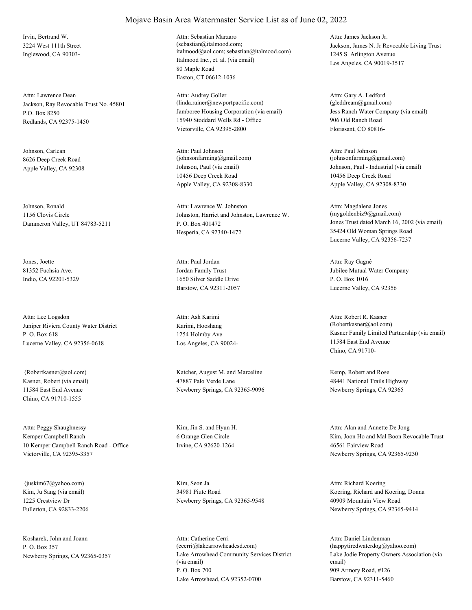Irvin, Bertrand W. 3224 West 111th Street Inglewood, CA 90303-

Jackson, Ray Revocable Trust No. 45801 P.O. Box 8250 Redlands, CA 92375-1450 Attn: Lawrence Dean

Johnson, Carlean 8626 Deep Creek Road

Johnson, Ronald 1156 Clovis Circle Dammeron Valley, UT 84783-5211

Jones, Joette 81352 Fuchsia Ave. Indio, CA 92201-5329

Juniper Riviera County Water District P. O. Box 618 Lucerne Valley, CA 92356-0618 Attn: Lee Logsdon

Kasner, Robert (via email) 11584 East End Avenue Chino, CA 91710-1555

Kemper Campbell Ranch 10 Kemper Campbell Ranch Road - Office Victorville, CA 92395-3357 Attn: Peggy Shaughnessy Kim, Jin S. and Hyun H.

Kim, Ju Sang (via email) 1225 Crestview Dr Fullerton, CA 92833-2206 (juskim67@yahoo.com) Kim, Seon Ja

Kosharek, John and Joann P. O. Box 357

### Mojave Basin Area Watermaster Service List as of June 02, 2022

Italmood Inc., et. al. (via email) 80 Maple Road Easton, CT 06612-1036 Attn: Sebastian Marzaro (sebastian@italmood.com; italmood@aol.com; sebastian@italmood.com)

Jamboree Housing Corporation (via email) 15940 Stoddard Wells Rd - Office Victorville, CA 92395-2800 Attn: Audrey Goller (linda.rainer@newportpacific.com)

Apple Valley, CA 92308 Johnson, Paul (via email) 10456 Deep Creek Road Apple Valley, CA 92308-8330 Attn: Paul Johnson (johnsonfarming@gmail.com)

> Johnston, Harriet and Johnston, Lawrence W. P. O. Box 401472 Hesperia, CA 92340-1472 Attn: Lawrence W. Johnston

Jordan Family Trust 1650 Silver Saddle Drive Barstow, CA 92311-2057 Attn: Paul Jordan

Karimi, Hooshang 1254 Holmby Ave Los Angeles, CA 90024- Attn: Ash Karimi

 (Robertkasner@aol.com) Katcher, August M. and Marceline 47887 Palo Verde Lane Newberry Springs, CA 92365-9096

> 6 Orange Glen Circle Irvine, CA 92620-1264

34981 Piute Road Newberry Springs, CA 92365-9548

Newberry Springs, CA 92365-0357 Lake Arrowhead Community Services District (via email) P. O. Box 700 Lake Arrowhead, CA 92352-0700 Attn: Catherine Cerri (ccerri@lakearrowheadcsd.com)

Jackson, James N. Jr Revocable Living Trust 1245 S. Arlington Avenue Los Angeles, CA 90019-3517 Attn: James Jackson Jr.

Jess Ranch Water Company (via email) 906 Old Ranch Road Florissant, CO 80816- Attn: Gary A. Ledford (gleddream@gmail.com)

Johnson, Paul - Industrial (via email) 10456 Deep Creek Road Apple Valley, CA 92308-8330 Attn: Paul Johnson  $(iohnsonfarming@gmail.com)$ 

Jones Trust dated March 16, 2002 (via email) 35424 Old Woman Springs Road Lucerne Valley, CA 92356-7237 Attn: Magdalena Jones (mygoldenbiz9@gmail.com)

Jubilee Mutual Water Company P. O. Box 1016 Lucerne Valley, CA 92356 Attn: Ray Gagné

Kasner Family Limited Partnership (via email) 11584 East End Avenue Chino, CA 91710- Attn: Robert R. Kasner (Robertkasner@aol.com)

Kemp, Robert and Rose 48441 National Trails Highway Newberry Springs, CA 92365

Kim, Joon Ho and Mal Boon Revocable Trust 46561 Fairview Road Newberry Springs, CA 92365-9230 Attn: Alan and Annette De Jong

Koering, Richard and Koering, Donna 40909 Mountain View Road Newberry Springs, CA 92365-9414 Attn: Richard Koering

Lake Jodie Property Owners Association (via email) 909 Armory Road, #126 Barstow, CA 92311-5460 Attn: Daniel Lindenman (happytiredwaterdog@yahoo.com)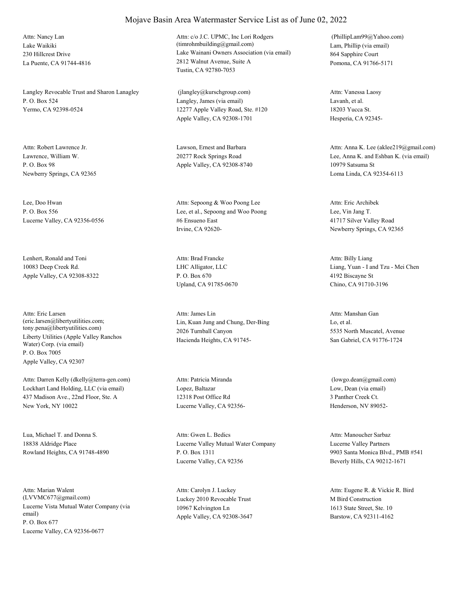Lake Waikiki 230 Hillcrest Drive La Puente, CA 91744-4816 Attn: Nancy Lan

Langley Revocable Trust and Sharon Lanagley P. O. Box 524 Yermo, CA 92398-0524

Lawrence, William W. P. O. Box 98 Newberry Springs, CA 92365

Lee, Doo Hwan P. O. Box 556 Lucerne Valley, CA 92356-0556

Lenhert, Ronald and Toni 10083 Deep Creek Rd. Apple Valley, CA 92308-8322

Liberty Utilities (Apple Valley Ranchos Water) Corp. (via email) P. O. Box 7005 Apple Valley, CA 92307 Attn: Eric Larsen (eric.larsen@libertyutilities.com; tony.pena@libertyutilities.com)

Lockhart Land Holding, LLC (via email) 437 Madison Ave., 22nd Floor, Ste. A New York, NY 10022 Attn: Darren Kelly (dkelly@terra-gen.com)

Lua, Michael T. and Donna S. 18838 Aldridge Place Rowland Heights, CA 91748-4890

Lucerne Vista Mutual Water Company (via email) P. O. Box 677 Lucerne Valley, CA 92356-0677 Attn: Marian Walent (LVVMC677@gmail.com) Luckey 2010 Revocable Trust

# Attn: c/o J.C. UPMC, Inc Lori Rodgers (timrohmbuilding@gmail.com) Lam, Phillip (via email)

Mojave Basin Area Watermaster Service List as of June 02, 2022

Lake Wainani Owners Association (via email) 2812 Walnut Avenue, Suite A Tustin, CA 92780-7053

Langley, James (via email) 12277 Apple Valley Road, Ste. #120 Apple Valley, CA 92308-1701 (jlangley@kurschgroup.com)

Attn: Robert Lawrence Jr. Camera Communication Cause and Barbara 20277 Rock Springs Road Apple Valley, CA 92308-8740

> Lee, et al., Sepoong and Woo Poong #6 Ensueno East Irvine, CA 92620- Attn: Sepoong & Woo Poong Lee

LHC Alligator, LLC P. O. Box 670 Upland, CA 91785-0670 Attn: Brad Francke

Lin, Kuan Jung and Chung, Der-Bing 2026 Turnball Canyon Hacienda Heights, CA 91745- Attn: James Lin

Lopez, Baltazar 12318 Post Office Rd Lucerne Valley, CA 92356- Attn: Patricia Miranda

Lucerne Valley Mutual Water Company P. O. Box 1311 Lucerne Valley, CA 92356 Attn: Gwen L. Bedics

10967 Kelvington Ln Apple Valley, CA 92308-3647 Attn: Carolyn J. Luckey

864 Sapphire Court Pomona, CA 91766-5171 (PhillipLam99@Yahoo.com)

Lavanh, et al. 18203 Yucca St. Hesperia, CA 92345- Attn: Vanessa Laosy

Lee, Anna K. and Eshban K. (via email) 10979 Satsuma St Loma Linda, CA 92354-6113 Attn: Anna K. Lee (aklee219@gmail.com)

Lee, Vin Jang T. 41717 Silver Valley Road Newberry Springs, CA 92365 Attn: Eric Archibek

Liang, Yuan - I and Tzu - Mei Chen 4192 Biscayne St Chino, CA 91710-3196 Attn: Billy Liang

Lo, et al. 5535 North Muscatel, Avenue San Gabriel, CA 91776-1724 Attn: Manshan Gan

Low, Dean (via email) 3 Panther Creek Ct. Henderson, NV 89052- (lowgo.dean@gmail.com)

Lucerne Valley Partners 9903 Santa Monica Blvd., PMB #541 Beverly Hills, CA 90212-1671 Attn: Manoucher Sarbaz

M Bird Construction 1613 State Street, Ste. 10 Barstow, CA 92311-4162 Attn: Eugene R. & Vickie R. Bird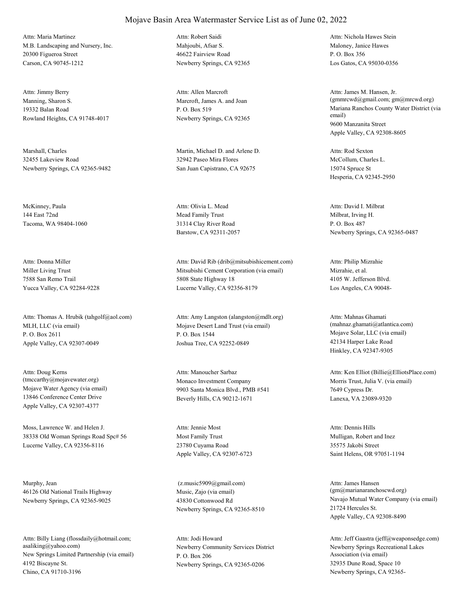M.B. Landscaping and Nursery, Inc. 20300 Figueroa Street Carson, CA 90745-1212 Attn: Maria Martinez

Manning, Sharon S. 19332 Balan Road Rowland Heights, CA 91748-4017 Attn: Jimmy Berry

Marshall, Charles 32455 Lakeview Road Newberry Springs, CA 92365-9482

McKinney, Paula 144 East 72nd Tacoma, WA 98404-1060

Miller Living Trust 7588 San Remo Trail Yucca Valley, CA 92284-9228 Attn: Donna Miller

MLH, LLC (via email) P. O. Box 2611 Apple Valley, CA 92307-0049 Attn: Thomas A. Hrubik (tahgolf@aol.com)

Mojave Water Agency (via email) 13846 Conference Center Drive Apple Valley, CA 92307-4377 Attn: Doug Kerns (tmccarthy@mojavewater.org) Monaco Investment Company

Moss, Lawrence W. and Helen J. 38338 Old Woman Springs Road Spc# 56 Lucerne Valley, CA 92356-8116

Murphy, Jean 46126 Old National Trails Highway Newberry Springs, CA 92365-9025

New Springs Limited Partnership (via email) 4192 Biscayne St. Chino, CA 91710-3196 Attn: Billy Liang (flossdaily@hotmail.com; asaliking@yahoo.com) Newberry Community Services District

Mahioubi, Afsar S. 46622 Fairview Road Newberry Springs, CA 92365 Attn: Robert Saidi

Marcroft, James A. and Joan P. O. Box 519 Newberry Springs, CA 92365 Attn: Allen Marcroft

Martin, Michael D. and Arlene D. 32942 Paseo Mira Flores San Juan Capistrano, CA 92675

Mead Family Trust 31314 Clay River Road Barstow, CA 92311-2057 Attn: Olivia L. Mead

Mitsubishi Cement Corporation (via email) 5808 State Highway 18 Lucerne Valley, CA 92356-8179 Attn: David Rib (drib@mitsubishicement.com)

Mojave Desert Land Trust (via email) P. O. Box 1544 Joshua Tree, CA 92252-0849 Attn: Amy Langston (alangston@mdlt.org)

9903 Santa Monica Blvd., PMB #541 Beverly Hills, CA 90212-1671 Attn: Manoucher Sarbaz

Most Family Trust 23780 Cuyama Road Apple Valley, CA 92307-6723 Attn: Jennie Most

Music, Zajo (via email) 43830 Cottonwood Rd Newberry Springs, CA 92365-8510 (z.music5909@gmail.com)

P. O. Box 206 Newberry Springs, CA 92365-0206 Attn: Jodi Howard

Maloney, Janice Hawes P. O. Box 356 Los Gatos, CA 95030-0356 Attn: Nichola Hawes Stein

Mariana Ranchos County Water District (via email) 9600 Manzanita Street Apple Valley, CA 92308-8605 Attn: James M. Hansen, Jr. (gmmrcwd@gmail.com; gm@mrcwd.org)

McCollum, Charles L. 15074 Spruce St Hesperia, CA 92345-2950 Attn: Rod Sexton

Milbrat, Irving H. P. O. Box 487 Newberry Springs, CA 92365-0487 Attn: David I. Milbrat

Mizrahie, et al. 4105 W. Jefferson Blvd. Los Angeles, CA 90048- Attn: Philip Mizrahie

Mojave Solar, LLC (via email) 42134 Harper Lake Road Hinkley, CA 92347-9305 Attn: Mahnas Ghamati (mahnaz.ghamati@atlantica.com)

Morris Trust, Julia V. (via email) 7649 Cypress Dr. Lanexa, VA 23089-9320 Attn: Ken Elliot (Billie@ElliotsPlace.com)

Mulligan, Robert and Inez 35575 Jakobi Street Saint Helens, OR 97051-1194 Attn: Dennis Hills

Navajo Mutual Water Company (via email) 21724 Hercules St. Apple Valley, CA 92308-8490 Attn: James Hansen (gm@marianaranchoscwd.org)

Newberry Springs Recreational Lakes Association (via email) 32935 Dune Road, Space 10 Newberry Springs, CA 92365- Attn: Jeff Gaastra (jeff@weaponsedge.com)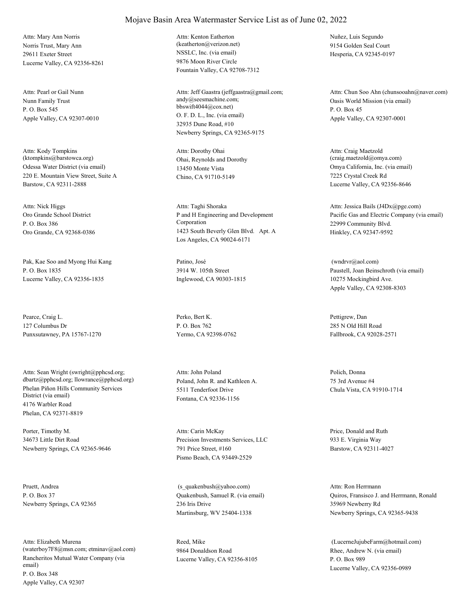Norris Trust, Mary Ann 29611 Exeter Street Lucerne Valley, CA 92356-8261 Attn: Mary Ann Norris

Nunn Family Trust P. O. Box 545 Apple Valley, CA 92307-0010 Attn: Pearl or Gail Nunn

Odessa Water District (via email) 220 E. Mountain View Street, Suite A Barstow, CA 92311-2888 Attn: Kody Tompkins (ktompkins@barstowca.org) Ohai, Reynolds and Dorothy

Oro Grande School District P. O. Box 386 Oro Grande, CA 92368-0386 Attn: Nick Higgs

Pak, Kae Soo and Myong Hui Kang P. O. Box 1835 Lucerne Valley, CA 92356-1835

Pearce, Craig L. 127 Columbus Dr Punxsutawney, PA 15767-1270

Phelan Piñon Hills Community Services District (via email) 4176 Warbler Road Phelan, CA 92371-8819 Attn: Sean Wright (swright@pphcsd.org; dbartz@pphcsd.org; llowrance@pphcsd.org) Poland, John R. and Kathleen A.

Porter, Timothy M. 34673 Little Dirt Road Newberry Springs, CA 92365-9646

Pruett, Andrea P. O. Box 37 Newberry Springs, CA 92365

Rancheritos Mutual Water Company (via email) P. O. Box 348 Apple Valley, CA 92307 Attn: Elizabeth Murena (waterboy7F8@msn.com; etminav@aol.com) NSSLC, Inc. (via email) 9876 Moon River Circle Fountain Valley, CA 92708-7312 Attn: Kenton Eatherton (keatherton@verizon.net)

O. F. D. L., Inc. (via email) 32935 Dune Road, #10 Newberry Springs, CA 92365-9175 Attn: Jeff Gaastra (jeffgaastra@gmail.com; andy@seesmachine.com; bbswift4044@cox.net)

13450 Monte Vista Chino, CA 91710-5149 Attn: Dorothy Ohai

P and H Engineering and Development Corporation 1423 South Beverly Glen Blvd. Apt. A Los Angeles, CA 90024-6171 Attn: Taghi Shoraka

Patino, José 3914 W. 105th Street Inglewood, CA 90303-1815

Perko, Bert K. P. O. Box 762 Yermo, CA 92398-0762

5511 Tenderfoot Drive Fontana, CA 92336-1156 Attn: John Poland Polich, Donna

Precision Investments Services, LLC 791 Price Street, #160 Pismo Beach, CA 93449-2529 Attn: Carin McKay Price, Donald and Ruth

Quakenbush, Samuel R. (via email) 236 Iris Drive Martinsburg, WV 25404-1338 (s\_quakenbush@yahoo.com)

Reed, Mike 9864 Donaldson Road Lucerne Valley, CA 92356-8105 Nuñez, Luis Segundo 9154 Golden Seal Court Hesperia, CA 92345-0197

Oasis World Mission (via email) P. O. Box 45 Apple Valley, CA 92307-0001 Attn: Chun Soo Ahn (chunsooahn@naver.com)

Omya California, Inc. (via email) 7225 Crystal Creek Rd Lucerne Valley, CA 92356-8646 Attn: Craig Maetzold (craig.maetzold@omya.com)

Pacific Gas and Electric Company (via email) 22999 Community Blvd. Hinkley, CA 92347-9592 Attn: Jessica Bails (J4Dx@pge.com)

Paustell, Joan Beinschroth (via email) 10275 Mockingbird Ave. Apple Valley, CA 92308-8303 (wndrvr@aol.com)

Pettigrew, Dan 285 N Old Hill Road Fallbrook, CA 92028-2571

75 3rd Avenue #4 Chula Vista, CA 91910-1714

933 E. Virginia Way Barstow, CA 92311-4027

Quiros, Fransisco J. and Herrmann, Ronald 35969 Newberry Rd Newberry Springs, CA 92365-9438 Attn: Ron Herrmann

Rhee, Andrew N. (via email) P. O. Box 989 Lucerne Valley, CA 92356-0989 (LucerneJujubeFarm@hotmail.com)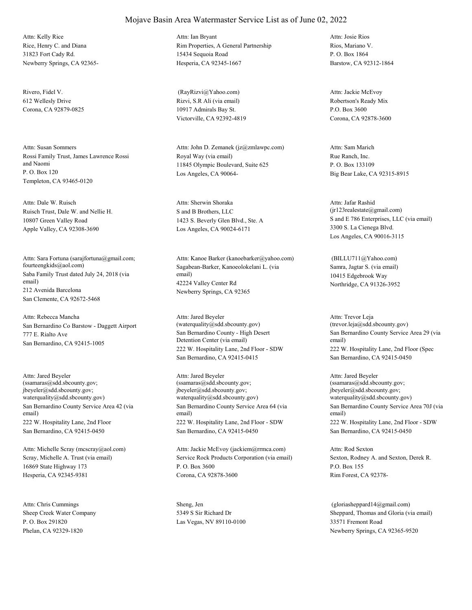Rice, Henry C. and Diana 31823 Fort Cady Rd. Newberry Springs, CA 92365- Attn: Kelly Rice

Rivero, Fidel V. 612 Wellesly Drive Corona, CA 92879-0825

Rossi Family Trust, James Lawrence Rossi and Naomi P. O. Box 120 Templeton, CA 93465-0120 Attn: Susan Sommers

Ruisch Trust, Dale W. and Nellie H. 10807 Green Valley Road Apple Valley, CA 92308-3690 Attn: Dale W. Ruisch

Saba Family Trust dated July 24, 2018 (via email) 212 Avenida Barcelona San Clemente, CA 92672-5468 Attn: Sara Fortuna (sarajfortuna@gmail.com; fourteengkids@aol.com) Sagabean-Barker, Kanoeolokelani L. (via

San Bernardino Co Barstow - Daggett Airport 777 E. Rialto Ave San Bernardino, CA 92415-1005 Attn: Rebecca Mancha

San Bernardino County Service Area 42 (via email) 222 W. Hospitality Lane, 2nd Floor San Bernardino, CA 92415-0450 Attn: Jared Beyeler (ssamaras@sdd.sbcounty.gov; jbeyeler@sdd.sbcounty.gov; waterquality@sdd.sbcounty.gov)

Scray, Michelle A. Trust (via email) 16869 State Highway 173 Hesperia, CA 92345-9381 Attn: Michelle Scray (mcscray@aol.com)

Sheep Creek Water Company P. O. Box 291820 Phelan, CA 92329-1820 Attn: Chris Cummings Sheng, Jen

### Rim Properties, A General Partnership 15434 Sequoia Road Hesperia, CA 92345-1667 Attn: Ian Bryant

Mojave Basin Area Watermaster Service List as of June 02, 2022

Rizvi, S.R Ali (via email) 10917 Admirals Bay St. Victorville, CA 92392-4819 (RayRizvi@Yahoo.com)

Royal Way (via email) 11845 Olympic Boulevard, Suite 625 Los Angeles, CA 90064- Attn: John D. Zemanek (jz@zmlawpc.com)

S and B Brothers, LLC 1423 S. Beverly Glen Blvd., Ste. A Los Angeles, CA 90024-6171 Attn: Sherwin Shoraka

email) 42224 Valley Center Rd Newberry Springs, CA 92365 Attn: Kanoe Barker (kanoebarker@yahoo.com)

San Bernardino County - High Desert Detention Center (via email) 222 W. Hospitality Lane, 2nd Floor - SDW San Bernardino, CA 92415-0415 Attn: Jared Beyeler (waterquality@sdd.sbcounty.gov)

San Bernardino County Service Area 64 (via email) 222 W. Hospitality Lane, 2nd Floor - SDW San Bernardino, CA 92415-0450 Attn: Jared Beyeler (ssamaras@sdd.sbcounty.gov; jbeyeler@sdd.sbcounty.gov; waterquality@sdd.sbcounty.gov)

Service Rock Products Corporation (via email) P. O. Box 3600 Corona, CA 92878-3600 Attn: Jackie McEvoy (jackiem@rrmca.com)

5349 S Sir Richard Dr Las Vegas, NV 89110-0100 Rios, Mariano V. P. O. Box 1864 Barstow, CA 92312-1864 Attn: Josie Rios

Robertson's Ready Mix P.O. Box 3600 Corona, CA 92878-3600 Attn: Jackie McEvoy

Rue Ranch, Inc. P. O. Box 133109 Big Bear Lake, CA 92315-8915 Attn: Sam Marich

S and E 786 Enterprises, LLC (via email) 3300 S. La Cienega Blvd. Los Angeles, CA 90016-3115 Attn: Jafar Rashid (jr123realestate@gmail.com)

Samra, Jagtar S. (via email) 10415 Edgebrook Way Northridge, CA 91326-3952 (BILLU711@Yahoo.com)

San Bernardino County Service Area 29 (via email) 222 W. Hospitality Lane, 2nd Floor (Spec San Bernardino, CA 92415-0450 Attn: Trevor Leja (trevor.leja@sdd.sbcounty.gov)

San Bernardino County Service Area 70J (via email) 222 W. Hospitality Lane, 2nd Floor - SDW San Bernardino, CA 92415-0450 Attn: Jared Beyeler (ssamaras@sdd.sbcounty.gov; jbeyeler@sdd.sbcounty.gov; waterquality@sdd.sbcounty.gov)

Sexton, Rodney A. and Sexton, Derek R. P.O. Box 155 Rim Forest, CA 92378- Attn: Rod Sexton

Sheppard, Thomas and Gloria (via email) 33571 Fremont Road Newberry Springs, CA 92365-9520 (gloriasheppard14@gmail.com)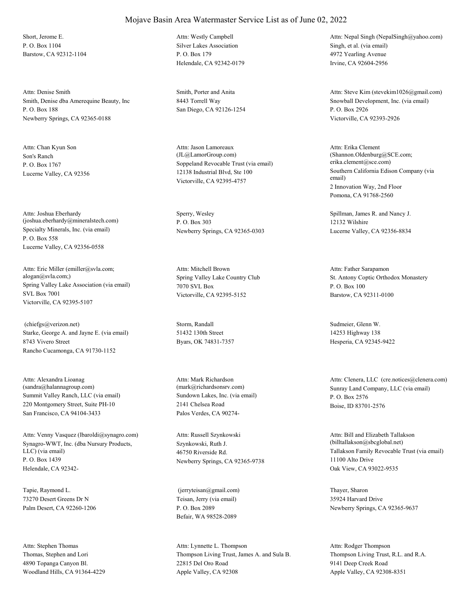Short, Jerome E. P. O. Box 1104 Barstow, CA 92312-1104

Smith, Denise dba Amerequine Beauty, Inc P. O. Box 188 Newberry Springs, CA 92365-0188 Attn: Denise Smith Smith Smith, Porter and Anita

Son's Ranch P. O. Box 1767 Lucerne Valley, CA 92356 Attn: Chan Kyun Son

Specialty Minerals, Inc. (via email) P. O. Box 558 Lucerne Valley, CA 92356-0558 Attn: Joshua Eberhardy (joshua.eberhardy@mineralstech.com)

Spring Valley Lake Association (via email) SVL Box 7001 Victorville, CA 92395-5107 Attn: Eric Miller (emiller@svla.com; alogan@svla.com;) Spring Valley Lake Country Club

Starke, George A. and Jayne E. (via email) 8743 Vivero Street Rancho Cucamonga, CA 91730-1152 (chiefgs@verizon.net) Storm, Randall

Summit Valley Ranch, LLC (via email) 220 Montgomery Street, Suite PH-10 San Francisco, CA 94104-3433 Attn: Alexandra Lioanag (sandra@halannagroup.com)

Synagro-WWT, Inc. (dba Nursury Products, LLC) (via email) P. O. Box 1439 Helendale, CA 92342- Attn: Venny Vasquez (lbaroldi@synagro.com)

Tapie, Raymond L. 73270 Desert Greens Dr N Palm Desert, CA 92260-1206

Thomas, Stephen and Lori 4890 Topanga Canyon Bl. Woodland Hills, CA 91364-4229 Attn: Stephen Thomas

### Mojave Basin Area Watermaster Service List as of June 02, 2022

Silver Lakes Association P. O. Box 179 Helendale, CA 92342-0179 Attn: Westly Campbell

8443 Torrell Way San Diego, CA 92126-1254

Soppeland Revocable Trust (via email) 12138 Industrial Blvd, Ste 100 Victorville, CA 92395-4757 Attn: Jason Lamoreaux (JL@LamorGroup.com)

Sperry, Wesley P. O. Box 303 Newberry Springs, CA 92365-0303

7070 SVL Box Victorville, CA 92395-5152 Attn: Mitchell Brown

51432 130th Street Byars, OK 74831-7357

Sundown Lakes, Inc. (via email) 2141 Chelsea Road Palos Verdes, CA 90274- Attn: Mark Richardson

Szynkowski, Ruth J. 46750 Riverside Rd. Newberry Springs, CA 92365-9738 Attn: Russell Szynkowski

Teisan, Jerry (via email) P. O. Box 2089 Befair, WA 98528-2089 (jerryteisan@gmail.com) Thayer, Sharon

Thompson Living Trust, James A. and Sula B. 22815 Del Oro Road Apple Valley, CA 92308 Attn: Lynnette L. Thompson

Singh, et al. (via email) 4972 Yearling Avenue Irvine, CA 92604-2956 Attn: Nepal Singh (NepalSingh@yahoo.com)

Snowball Development, Inc. (via email) P. O. Box 2926 Victorville, CA 92393-2926 Attn: Steve Kim (stevekim1026@gmail.com)

Southern California Edison Company (via email) 2 Innovation Way, 2nd Floor Pomona, CA 91768-2560 Attn: Erika Clement (Shannon.Oldenburg@SCE.com; erika.clement@sce.com)

Spillman, James R. and Nancy J. 12132 Wilshire Lucerne Valley, CA 92356-8834

St. Antony Coptic Orthodox Monastery P. O. Box 100 Barstow, CA 92311-0100 Attn: Father Sarapamon

Sudmeier, Glenn W. 14253 Highway 138 Hesperia, CA 92345-9422

(mark@richardsonsrv.com) Sunray Land Company, LLC (via email) P. O. Box 2576 Boise, ID 83701-2576 Attn: Clenera, LLC (cre.notices@clenera.com)

> Tallakson Family Revocable Trust (via email) 11100 Alto Drive Oak View, CA 93022-9535 Attn: Bill and Elizabeth Tallakson (billtallakson@sbcglobal.net)

35924 Harvard Drive Newberry Springs, CA 92365-9637

Thompson Living Trust, R.L. and R.A. 9141 Deep Creek Road Apple Valley, CA 92308-8351 Attn: Rodger Thompson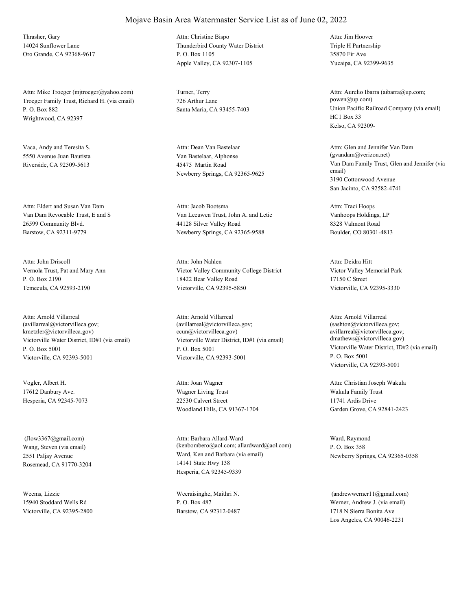Thrasher, Gary 14024 Sunflower Lane Oro Grande, CA 92368-9617

Troeger Family Trust, Richard H. (via email) P. O. Box 882 Wrightwood, CA 92397 Attn: Mike Troeger (mjtroeger@yahoo.com) Turner, Terry

Vaca, Andy and Teresita S. 5550 Avenue Juan Bautista Riverside, CA 92509-5613

Van Dam Revocable Trust, E and S 26599 Community Blvd. Barstow, CA 92311-9779 Attn: Eldert and Susan Van Dam

Vernola Trust, Pat and Mary Ann P. O. Box 2190 Temecula, CA 92593-2190 Attn: John Driscoll

Victorville Water District, ID#1 (via email) P. O. Box 5001 Victorville, CA 92393-5001 Attn: Arnold Villarreal (avillarreal@victorvilleca.gov; kmetzler@victorvilleca.gov)

Vogler, Albert H. 17612 Danbury Ave. Hesperia, CA 92345-7073

Wang, Steven (via email) 2551 Paljay Avenue Rosemead, CA 91770-3204 (Jlow3367@gmail.com)

Weems, Lizzie 15940 Stoddard Wells Rd Victorville, CA 92395-2800

## Mojave Basin Area Watermaster Service List as of June 02, 2022

Thunderbird County Water District P. O. Box 1105 Apple Valley, CA 92307-1105 Attn: Christine Bispo

726 Arthur Lane

Van Bastelaar, Alphonse 45475 Martin Road Newberry Springs, CA 92365-9625 Attn: Dean Van Bastelaar

Van Leeuwen Trust, John A. and Letie 44128 Silver Valley Road Newberry Springs, CA 92365-9588 Attn: Jacob Bootsma

Victor Valley Community College District 18422 Bear Valley Road Victorville, CA 92395-5850 Attn: John Nahlen

Victorville Water District, ID#1 (via email) P. O. Box 5001 Victorville, CA 92393-5001 Attn: Arnold Villarreal (avillarreal@victorvilleca.gov; ccun@victorvilleca.gov)

Wagner Living Trust 22530 Calvert Street Woodland Hills, CA 91367-1704 Attn: Joan Wagner

Ward, Ken and Barbara (via email) 14141 State Hwy 138 Hesperia, CA 92345-9339 Attn: Barbara Allard-Ward (kenbombero@aol.com; allardward@aol.com)

Weeraisinghe, Maithri N. P. O. Box 487 Barstow, CA 92312-0487 Triple H Partnership 35870 Fir Ave Yucaipa, CA 92399-9635 Attn: Jim Hoover

Santa Maria, CA 93455-7403 Union Pacific Railroad Company (via email) HC1 Box 33 Kelso, CA 92309- Attn: Aurelio Ibarra (aibarra@up.com; powen@up.com)

> Van Dam Family Trust, Glen and Jennifer (via email) 3190 Cottonwood Avenue San Jacinto, CA 92582-4741 Attn: Glen and Jennifer Van Dam (gvandam@verizon.net)

Vanhoops Holdings, LP 8328 Valmont Road Boulder, CO 80301-4813 Attn: Traci Hoops

Victor Valley Memorial Park 17150 C Street Victorville, CA 92395-3330 Attn: Deidra Hitt

Victorville Water District, ID#2 (via email) P. O. Box 5001 Victorville, CA 92393-5001 Attn: Arnold Villarreal (sashton@victorvilleca.gov; avillarreal@victorvilleca.gov; dmathews@victorvilleca.gov)

Wakula Family Trust 11741 Ardis Drive Garden Grove, CA 92841-2423 Attn: Christian Joseph Wakula

Ward, Raymond P. O. Box 358 Newberry Springs, CA 92365-0358

Werner, Andrew J. (via email) 1718 N Sierra Bonita Ave Los Angeles, CA 90046-2231  $(and$ rewwerner $11@g$ mail.com)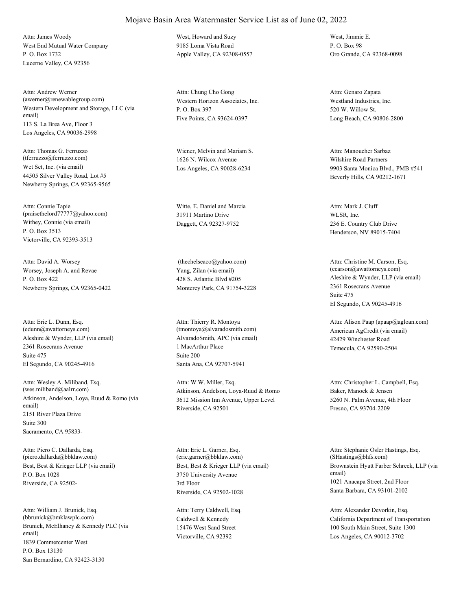West End Mutual Water Company P. O. Box 1732 Lucerne Valley, CA 92356 Attn: James Woody West, Howard and Suzy

Western Development and Storage, LLC (via email) 113 S. La Brea Ave, Floor 3 Los Angeles, CA 90036-2998 Attn: Andrew Werner (awerner@renewablegroup.com) Western Horizon Associates, Inc.

Wet Set, Inc. (via email) 44505 Silver Valley Road, Lot #5 Newberry Springs, CA 92365-9565 Attn: Thomas G. Ferruzzo (tferruzzo@ferruzzo.com)

Withey, Connie (via email) P. O. Box 3513 Victorville, CA 92393-3513 Attn: Connie Tapie (praisethelord77777@yahoo.com)

Worsey, Joseph A. and Revae P. O. Box 422 Newberry Springs, CA 92365-0422 Attn: David A. Worsey

Aleshire & Wynder, LLP (via email) 2361 Rosecrans Avenue El Segundo, CA 90245-4916 Attn: Eric L. Dunn, Esq. (edunn@awattorneys.com) Suite 475

Atkinson, Andelson, Loya, Ruud & Romo (via email) 2151 River Plaza Drive Sacramento, CA 95833- Attn: Wesley A. Miliband, Esq. (wes.miliband@aalrr.com) Suite 300

Best, Best & Krieger LLP (via email) P.O. Box 1028 Riverside, CA 92502- Attn: Piero C. Dallarda, Esq. (piero.dallarda@bbklaw.com)

Brunick, McElhaney & Kennedy PLC (via email) 1839 Commercenter West San Bernardino, CA 92423-3130 Attn: William J. Brunick, Esq. (bbrunick@bmklawplc.com) P.O. Box 13130

9185 Loma Vista Road Apple Valley, CA 92308-0557

P. O. Box 397 Five Points, CA 93624-0397 Attn: Chung Cho Gong

Wiener, Melvin and Mariam S. 1626 N. Wilcox Avenue Los Angeles, CA 90028-6234

Witte, E. Daniel and Marcia 31911 Martino Drive Daggett, CA 92327-9752

Yang, Zilan (via email) 428 S. Atlantic Blvd #205 Monterey Park, CA 91754-3228 (thechelseaco@yahoo.com)

AlvaradoSmith, APC (via email) 1 MacArthur Place Santa Ana, CA 92707-5941 Attn: Thierry R. Montoya (tmontoya@alvaradosmith.com) Suite 200

Atkinson, Andelson, Loya-Ruud & Romo 3612 Mission Inn Avenue, Upper Level Riverside, CA 92501 Attn: W.W. Miller, Esq.

Best, Best & Krieger LLP (via email) 3750 University Avenue Riverside, CA 92502-1028 Attn: Eric L. Garner, Esq. (eric.garner@bbklaw.com) 3rd Floor

Caldwell & Kennedy 15476 West Sand Street Victorville, CA 92392 Attn: Terry Caldwell, Esq.

West, Jimmie E. P. O. Box 98 Oro Grande, CA 92368-0098

Westland Industries, Inc. 520 W. Willow St. Long Beach, CA 90806-2800 Attn: Genaro Zapata

Wilshire Road Partners 9903 Santa Monica Blvd., PMB #541 Beverly Hills, CA 90212-1671 Attn: Manoucher Sarbaz

WLSR, Inc. 236 E. Country Club Drive Henderson, NV 89015-7404 Attn: Mark J. Cluff

Aleshire & Wynder, LLP (via email) 2361 Rosecrans Avenue El Segundo, CA 90245-4916 Attn: Christine M. Carson, Esq. (ccarson@awattorneys.com) Suite 475

American AgCredit (via email) 42429 Winchester Road Temecula, CA 92590-2504 Attn: Alison Paap (apaap@agloan.com)

Baker, Manock & Jensen 5260 N. Palm Avenue, 4th Floor Fresno, CA 93704-2209 Attn: Christopher L. Campbell, Esq.

Brownstein Hyatt Farber Schreck, LLP (via email) 1021 Anacapa Street, 2nd Floor Santa Barbara, CA 93101-2102 Attn: Stephanie Osler Hastings, Esq. (SHastings@bhfs.com)

California Department of Transportation 100 South Main Street, Suite 1300 Los Angeles, CA 90012-3702 Attn: Alexander Devorkin, Esq.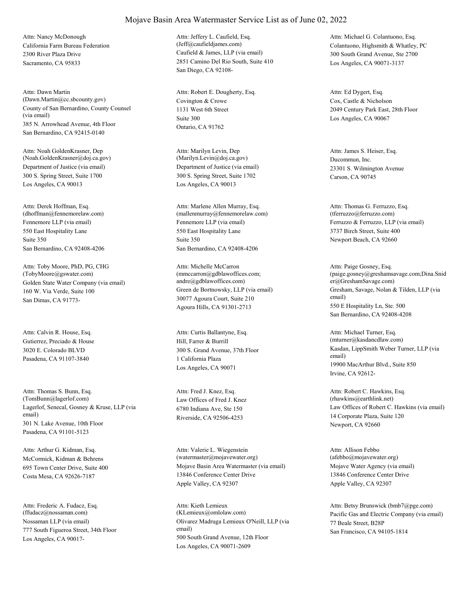California Farm Bureau Federation 2300 River Plaza Drive Sacramento, CA 95833 Attn: Nancy McDonough

County of San Bernardino, County Counsel (via email) 385 N. Arrowhead Avenue, 4th Floor San Bernardino, CA 92415-0140 Attn: Dawn Martin (Dawn.Martin@cc.sbcounty.gov) Covington & Crowe

Department of Justice (via email) 300 S. Spring Street, Suite 1700 Los Angeles, CA 90013 Attn: Noah GoldenKrasner, Dep (Noah.GoldenKrasner@doj.ca.gov)

Fennemore LLP (via email) 550 East Hospitality Lane San Bernardino, CA 92408-4206 Attn: Derek Hoffman, Esq. (dhoffman@fennemorelaw.com) Suite 350

Golden State Water Company (via email) 160 W. Via Verde, Suite 100 San Dimas, CA 91773- Attn: Toby Moore, PhD, PG, CHG (TobyMoore@gswater.com)

Gutierrez, Preciado & House 3020 E. Colorado BLVD Pasadena, CA 91107-3840 Attn: Calvin R. House, Esq.

Lagerlof, Senecal, Gosney & Kruse, LLP (via email) 301 N. Lake Avenue, 10th Floor Pasadena, CA 91101-5123 Attn: Thomas S. Bunn, Esq. (TomBunn@lagerlof.com) Law Offices of Fred J. Knez

McCormick, Kidman & Behrens 695 Town Center Drive, Suite 400 Costa Mesa, CA 92626-7187 Attn: Arthur G. Kidman, Esq.

Nossaman LLP (via email) 777 South Figueroa Street, 34th Floor Los Angeles, CA 90017- Attn: Frederic A. Fudacz, Esq. (ffudacz@nossaman.com)

Caufield & James, LLP (via email) 2851 Camino Del Rio South, Suite 410 San Diego, CA 92108- Attn: Jeffery L. Caufield, Esq. (Jeff@caufieldjames.com) Colantuono, Highsmith & Whatley, PC

1131 West 6th Street Ontario, CA 91762 Attn: Robert E. Dougherty, Esq. Suite 300

Department of Justice (via email) 300 S. Spring Street, Suite 1702 Los Angeles, CA 90013 Attn: Marilyn Levin, Dep (Marilyn.Levin@doj.ca.gov) Ducommun, Inc.

Fennemore LLP (via email) 550 East Hospitality Lane San Bernardino, CA 92408-4206 Attn: Marlene Allen Murray, Esq. (mallenmurray@fennemorelaw.com) Suite 350

Green de Bortnowsky, LLP (via email) 30077 Agoura Court, Suite 210 Agoura Hills, CA 91301-2713 Attn: Michelle McCarron (mmccarron@gdblawoffices.com; andre@gdblawoffices.com)

Hill, Farrer & Burrill 300 S. Grand Avenue, 37th Floor Los Angeles, CA 90071 Attn: Curtis Ballantyne, Esq. 1 California Plaza

6780 Indiana Ave, Ste 150 Riverside, CA 92506-4253 Attn: Fred J. Knez, Esq.

Mojave Basin Area Watermaster (via email) 13846 Conference Center Drive Apple Valley, CA 92307 Attn: Valerie L. Wiegenstein (watermaster@mojavewater.org)

Olivarez Madruga Lemieux O'Neill, LLP (via email) 500 South Grand Avenue, 12th Floor Los Angeles, CA 90071-2609 Attn: Kieth Lemieux

300 South Grand Avenue, Ste 2700 Los Angeles, CA 90071-3137 Attn: Michael G. Colantuono, Esq.

Cox, Castle & Nicholson 2049 Century Park East, 28th Floor Los Angeles, CA 90067 Attn: Ed Dygert, Esq.

23301 S. Wilmington Avenue Carson, CA 90745 Attn: James S. Heiser, Esq.

Ferruzzo & Ferruzzo, LLP (via email) 3737 Birch Street, Suite 400 Newport Beach, CA 92660 Attn: Thomas G. Ferruzzo, Esq. (tferruzzo@ferruzzo.com)

Gresham, Savage, Nolan & Tilden, LLP (via email) 550 E Hospitality Ln, Ste. 500 San Bernardino, CA 92408-4208 Attn: Paige Gosney, Esq. (paige.gosney@greshamsavage.com;Dina.Snid er@GreshamSavage.com)

Kasdan, LippSmith Weber Turner, LLP (via email) 19900 MacArthur Blvd., Suite 850 Irvine, CA 92612- Attn: Michael Turner, Esq. (mturner@kasdancdlaw.com)

Law Offices of Robert C. Hawkins (via email) 14 Corporate Plaza, Suite 120 Newport, CA 92660 Attn: Robert C. Hawkins, Esq. (rhawkins@earthlink.net)

Mojave Water Agency (via email) 13846 Conference Center Drive Apple Valley, CA 92307 Attn: Allison Febbo (afebbo@mojavewater.org)

(KLemieux@omlolaw.com) Pacific Gas and Electric Company (via email) 77 Beale Street, B28P San Francisco, CA 94105-1814 Attn: Betsy Brunswick (bmb7@pge.com)